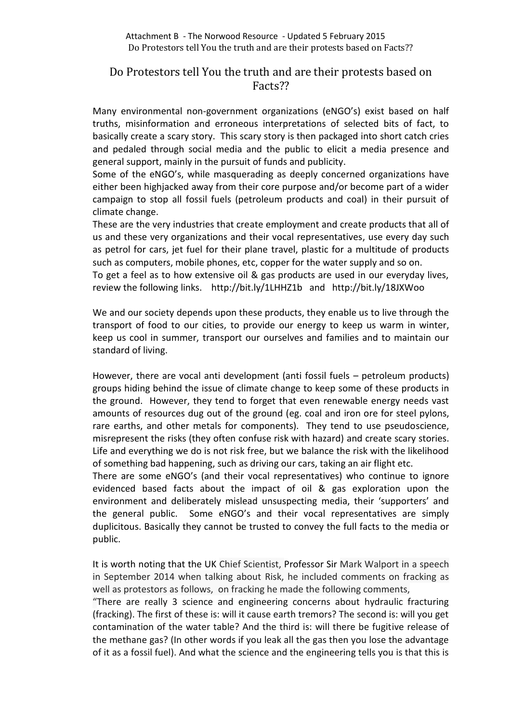# Do Protestors tell You the truth and are their protests based on Facts??

Many environmental non-government organizations (eNGO's) exist based on half truths, misinformation and erroneous interpretations of selected bits of fact, to basically create a scary story. This scary story is then packaged into short catch cries and pedaled through social media and the public to elicit a media presence and general support, mainly in the pursuit of funds and publicity.

Some of the eNGO's, while masquerading as deeply concerned organizations have either been highjacked away from their core purpose and/or become part of a wider campaign to stop all fossil fuels (petroleum products and coal) in their pursuit of climate change.

These are the very industries that create employment and create products that all of us and these very organizations and their vocal representatives, use every day such as petrol for cars, jet fuel for their plane travel, plastic for a multitude of products such as computers, mobile phones, etc, copper for the water supply and so on. To get a feel as to how extensive oil & gas products are used in our everyday lives,

review the following links. http://bit.ly/1LHHZ1b and http://bit.ly/18JXWoo

We and our society depends upon these products, they enable us to live through the transport of food to our cities, to provide our energy to keep us warm in winter, keep us cool in summer, transport our ourselves and families and to maintain our standard of living.

However, there are vocal anti development (anti fossil fuels – petroleum products) groups hiding behind the issue of climate change to keep some of these products in the ground. However, they tend to forget that even renewable energy needs vast amounts of resources dug out of the ground (eg. coal and iron ore for steel pylons, rare earths, and other metals for components). They tend to use pseudoscience, misrepresent the risks (they often confuse risk with hazard) and create scary stories. Life and everything we do is not risk free, but we balance the risk with the likelihood of something bad happening, such as driving our cars, taking an air flight etc.

There are some eNGO's (and their vocal representatives) who continue to ignore evidenced based facts about the impact of oil & gas exploration upon the environment and deliberately mislead unsuspecting media, their 'supporters' and the general public. Some eNGO's and their vocal representatives are simply duplicitous. Basically they cannot be trusted to convey the full facts to the media or public.

It is worth noting that the UK Chief Scientist, Professor Sir Mark Walport in a speech in September 2014 when talking about Risk, he included comments on fracking as well as protestors as follows, on fracking he made the following comments,

"There are really 3 science and engineering concerns about hydraulic fracturing (fracking). The first of these is: will it cause earth tremors? The second is: will you get contamination of the water table? And the third is: will there be fugitive release of the methane gas? (In other words if you leak all the gas then you lose the advantage of it as a fossil fuel). And what the science and the engineering tells you is that this is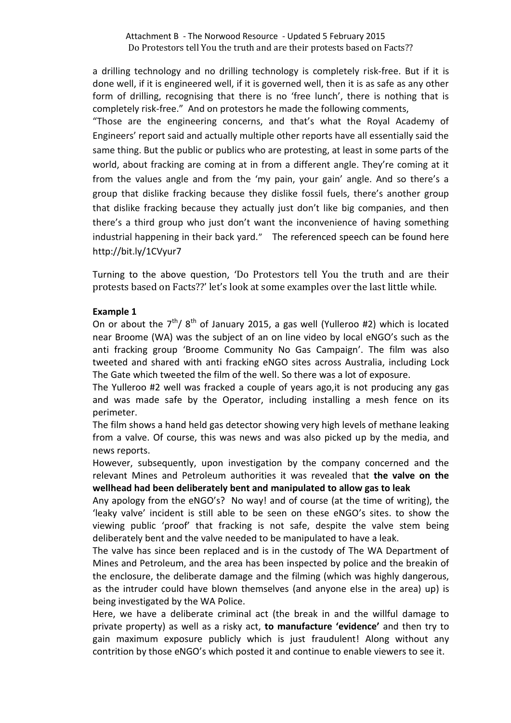a drilling technology and no drilling technology is completely risk-free. But if it is done well, if it is engineered well, if it is governed well, then it is as safe as any other form of drilling, recognising that there is no 'free lunch', there is nothing that is completely risk-free." And on protestors he made the following comments,

"Those are the engineering concerns, and that's what the Royal Academy of Engineers' report said and actually multiple other reports have all essentially said the same thing. But the public or publics who are protesting, at least in some parts of the world, about fracking are coming at in from a different angle. They're coming at it from the values angle and from the 'my pain, your gain' angle. And so there's a group that dislike fracking because they dislike fossil fuels, there's another group that dislike fracking because they actually just don't like big companies, and then there's a third group who just don't want the inconvenience of having something industrial happening in their back yard." The referenced speech can be found here http://bit.ly/1CVyur7

Turning to the above question, 'Do Protestors tell You the truth and are their protests based on Facts??' let's look at some examples over the last little while.

## **Example 1**

On or about the  $7<sup>th</sup>$ /  $8<sup>th</sup>$  of January 2015, a gas well (Yulleroo #2) which is located near Broome (WA) was the subject of an on line video by local eNGO's such as the anti fracking group 'Broome Community No Gas Campaign'. The film was also tweeted and shared with anti fracking eNGO sites across Australia, including Lock The Gate which tweeted the film of the well. So there was a lot of exposure.

The Yulleroo #2 well was fracked a couple of years ago,it is not producing any gas and was made safe by the Operator, including installing a mesh fence on its perimeter.

The film shows a hand held gas detector showing very high levels of methane leaking from a valve. Of course, this was news and was also picked up by the media, and news reports.

However, subsequently, upon investigation by the company concerned and the relevant Mines and Petroleum authorities it was revealed that **the valve on the wellhead had been deliberately bent and manipulated to allow gas to leak**

Any apology from the eNGO's? No way! and of course (at the time of writing), the 'leaky valve' incident is still able to be seen on these eNGO's sites. to show the viewing public 'proof' that fracking is not safe, despite the valve stem being deliberately bent and the valve needed to be manipulated to have a leak.

The valve has since been replaced and is in the custody of The WA Department of Mines and Petroleum, and the area has been inspected by police and the breakin of the enclosure, the deliberate damage and the filming (which was highly dangerous, as the intruder could have blown themselves (and anyone else in the area) up) is being investigated by the WA Police.

Here, we have a deliberate criminal act (the break in and the willful damage to private property) as well as a risky act, **to manufacture 'evidence'** and then try to gain maximum exposure publicly which is just fraudulent! Along without any contrition by those eNGO's which posted it and continue to enable viewers to see it.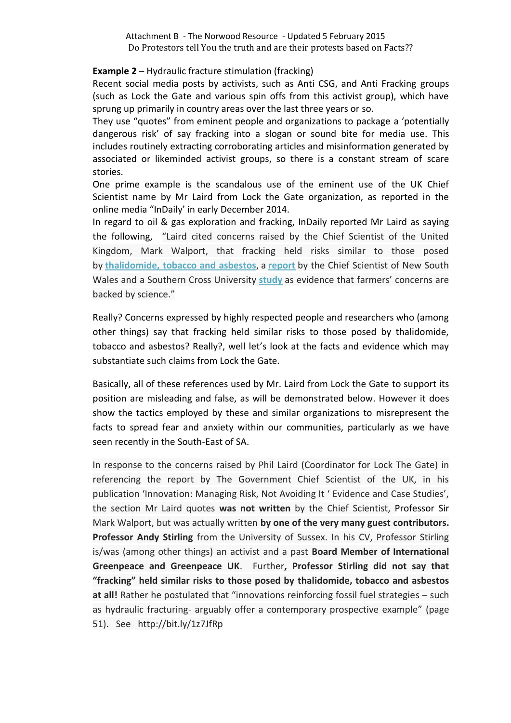# **Example 2** – Hydraulic fracture stimulation (fracking)

Recent social media posts by activists, such as Anti CSG, and Anti Fracking groups (such as Lock the Gate and various spin offs from this activist group), which have sprung up primarily in country areas over the last three years or so.

They use "quotes" from eminent people and organizations to package a 'potentially dangerous risk' of say fracking into a slogan or sound bite for media use. This includes routinely extracting corroborating articles and misinformation generated by associated or likeminded activist groups, so there is a constant stream of scare stories.

One prime example is the scandalous use of the eminent use of the UK Chief Scientist name by Mr Laird from Lock the Gate organization, as reported in the online media "InDaily' in early December 2014.

In regard to oil & gas exploration and fracking, InDaily reported Mr Laird as saying the following, "Laird cited concerns raised by the Chief Scientist of the United Kingdom, Mark Walport, that fracking held risks similar to those posed by **[thalidomide,](http://www.theguardian.com/environment/2014/nov/28/fracking-risk-compared-to-thalidomide-and-asbestos-in-walport-report) tobacco and asbestos**, a **[report](http://www.chiefscientist.nsw.gov.au/coal-seam-gas-review)** by the Chief Scientist of New South Wales and a Southern Cross University **[study](http://scu.edu.au/coastal-biogeochemistry/index.php/69)** as evidence that farmers' concerns are backed by science."

Really? Concerns expressed by highly respected people and researchers who (among other things) say that fracking held similar risks to those posed by thalidomide, tobacco and asbestos? Really?, well let's look at the facts and evidence which may substantiate such claims from Lock the Gate.

Basically, all of these references used by Mr. Laird from Lock the Gate to support its position are misleading and false, as will be demonstrated below. However it does show the tactics employed by these and similar organizations to misrepresent the facts to spread fear and anxiety within our communities, particularly as we have seen recently in the South-East of SA.

In response to the concerns raised by Phil Laird (Coordinator for Lock The Gate) in referencing the report by The Government Chief Scientist of the UK, in his publication 'Innovation: Managing Risk, Not Avoiding It ' Evidence and Case Studies', the section Mr Laird quotes **was not written** by the Chief Scientist, Professor Sir Mark Walport, but was actually written **by one of the very many guest contributors. Professor Andy Stirling** from the University of Sussex. In his CV, Professor Stirling is/was (among other things) an activist and a past **Board Member of International Greenpeace and Greenpeace UK**. Further**, Professor Stirling did not say that "fracking" held similar risks to those posed by thalidomide, tobacco and asbestos at all!** Rather he postulated that "innovations reinforcing fossil fuel strategies – such as hydraulic fracturing- arguably offer a contemporary prospective example" (page 51). See http://bit.ly/1z7JfRp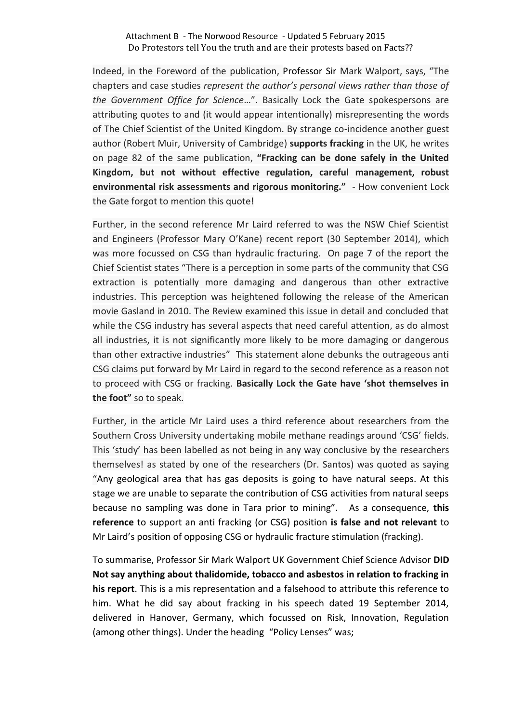Indeed, in the Foreword of the publication, Professor Sir Mark Walport, says, "The chapters and case studies *represent the author's personal views rather than those of the Government Office for Science*…". Basically Lock the Gate spokespersons are attributing quotes to and (it would appear intentionally) misrepresenting the words of The Chief Scientist of the United Kingdom. By strange co-incidence another guest author (Robert Muir, University of Cambridge) **supports fracking** in the UK, he writes on page 82 of the same publication, **"Fracking can be done safely in the United Kingdom, but not without effective regulation, careful management, robust environmental risk assessments and rigorous monitoring."** - How convenient Lock the Gate forgot to mention this quote!

Further, in the second reference Mr Laird referred to was the NSW Chief Scientist and Engineers (Professor Mary O'Kane) recent report (30 September 2014), which was more focussed on CSG than hydraulic fracturing. On page 7 of the report the Chief Scientist states "There is a perception in some parts of the community that CSG extraction is potentially more damaging and dangerous than other extractive industries. This perception was heightened following the release of the American movie Gasland in 2010. The Review examined this issue in detail and concluded that while the CSG industry has several aspects that need careful attention, as do almost all industries, it is not significantly more likely to be more damaging or dangerous than other extractive industries" This statement alone debunks the outrageous anti CSG claims put forward by Mr Laird in regard to the second reference as a reason not to proceed with CSG or fracking. **Basically Lock the Gate have 'shot themselves in the foot"** so to speak.

Further, in the article Mr Laird uses a third reference about researchers from the Southern Cross University undertaking mobile methane readings around 'CSG' fields. This 'study' has been labelled as not being in any way conclusive by the researchers themselves! as stated by one of the researchers (Dr. Santos) was quoted as saying "Any geological area that has gas deposits is going to have natural seeps. At this stage we are unable to separate the contribution of CSG activities from natural seeps because no sampling was done in Tara prior to mining". As a consequence, **this reference** to support an anti fracking (or CSG) position **is false and not relevant** to Mr Laird's position of opposing CSG or hydraulic fracture stimulation (fracking).

To summarise, Professor Sir Mark Walport UK Government Chief Science Advisor **DID Not say anything about thalidomide, tobacco and asbestos in relation to fracking in his report**. This is a mis representation and a falsehood to attribute this reference to him. What he did say about fracking in his speech dated 19 September 2014, delivered in Hanover, Germany, which focussed on Risk, Innovation, Regulation (among other things). Under the heading "Policy Lenses" was;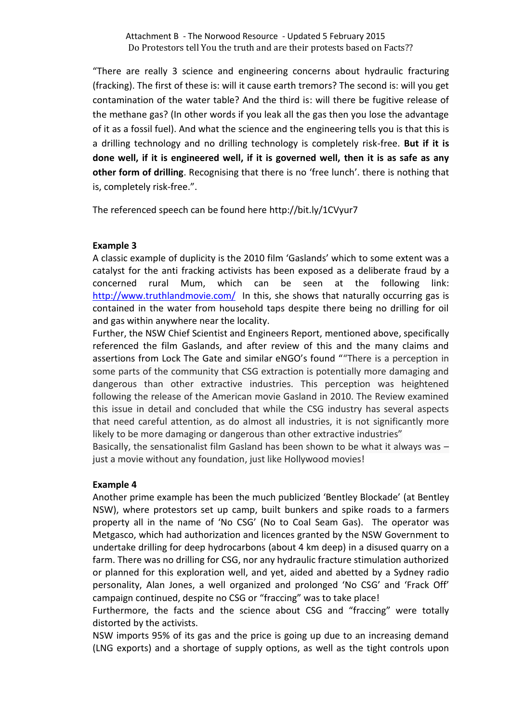"There are really 3 science and engineering concerns about hydraulic fracturing (fracking). The first of these is: will it cause earth tremors? The second is: will you get contamination of the water table? And the third is: will there be fugitive release of the methane gas? (In other words if you leak all the gas then you lose the advantage of it as a fossil fuel). And what the science and the engineering tells you is that this is a drilling technology and no drilling technology is completely risk-free. **But if it is done well, if it is engineered well, if it is governed well, then it is as safe as any other form of drilling**. Recognising that there is no 'free lunch'. there is nothing that is, completely risk-free.".

The referenced speech can be found here http://bit.ly/1CVyur7

## **Example 3**

A classic example of duplicity is the 2010 film 'Gaslands' which to some extent was a catalyst for the anti fracking activists has been exposed as a deliberate fraud by a concerned rural Mum, which can be seen at the following link: <http://www.truthlandmovie.com/> In this, she shows that naturally occurring gas is contained in the water from household taps despite there being no drilling for oil and gas within anywhere near the locality.

Further, the NSW Chief Scientist and Engineers Report, mentioned above, specifically referenced the film Gaslands, and after review of this and the many claims and assertions from Lock The Gate and similar eNGO's found ""There is a perception in some parts of the community that CSG extraction is potentially more damaging and dangerous than other extractive industries. This perception was heightened following the release of the American movie Gasland in 2010. The Review examined this issue in detail and concluded that while the CSG industry has several aspects that need careful attention, as do almost all industries, it is not significantly more likely to be more damaging or dangerous than other extractive industries"

Basically, the sensationalist film Gasland has been shown to be what it always was – just a movie without any foundation, just like Hollywood movies!

#### **Example 4**

Another prime example has been the much publicized 'Bentley Blockade' (at Bentley NSW), where protestors set up camp, built bunkers and spike roads to a farmers property all in the name of 'No CSG' (No to Coal Seam Gas). The operator was Metgasco, which had authorization and licences granted by the NSW Government to undertake drilling for deep hydrocarbons (about 4 km deep) in a disused quarry on a farm. There was no drilling for CSG, nor any hydraulic fracture stimulation authorized or planned for this exploration well, and yet, aided and abetted by a Sydney radio personality, Alan Jones, a well organized and prolonged 'No CSG' and 'Frack Off' campaign continued, despite no CSG or "fraccing" was to take place!

Furthermore, the facts and the science about CSG and "fraccing" were totally distorted by the activists.

NSW imports 95% of its gas and the price is going up due to an increasing demand (LNG exports) and a shortage of supply options, as well as the tight controls upon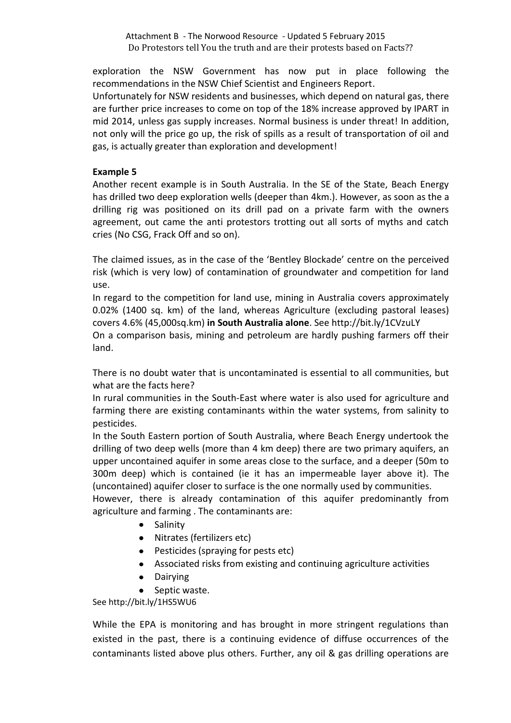exploration the NSW Government has now put in place following the recommendations in the NSW Chief Scientist and Engineers Report.

Unfortunately for NSW residents and businesses, which depend on natural gas, there are further price increases to come on top of the 18% increase approved by IPART in mid 2014, unless gas supply increases. Normal business is under threat! In addition, not only will the price go up, the risk of spills as a result of transportation of oil and gas, is actually greater than exploration and development!

## **Example 5**

Another recent example is in South Australia. In the SE of the State, Beach Energy has drilled two deep exploration wells (deeper than 4km.). However, as soon as the a drilling rig was positioned on its drill pad on a private farm with the owners agreement, out came the anti protestors trotting out all sorts of myths and catch cries (No CSG, Frack Off and so on).

The claimed issues, as in the case of the 'Bentley Blockade' centre on the perceived risk (which is very low) of contamination of groundwater and competition for land use.

In regard to the competition for land use, mining in Australia covers approximately 0.02% (1400 sq. km) of the land, whereas Agriculture (excluding pastoral leases) covers 4.6% (45,000sq.km) **in South Australia alone**. See http://bit.ly/1CVzuLY

On a comparison basis, mining and petroleum are hardly pushing farmers off their land.

There is no doubt water that is uncontaminated is essential to all communities, but what are the facts here?

In rural communities in the South-East where water is also used for agriculture and farming there are existing contaminants within the water systems, from salinity to pesticides.

In the South Eastern portion of South Australia, where Beach Energy undertook the drilling of two deep wells (more than 4 km deep) there are two primary aquifers, an upper uncontained aquifer in some areas close to the surface, and a deeper (50m to 300m deep) which is contained (ie it has an impermeable layer above it). The (uncontained) aquifer closer to surface is the one normally used by communities.

However, there is already contamination of this aquifer predominantly from agriculture and farming . The contaminants are:

- Salinity
- Nitrates (fertilizers etc)
- Pesticides (spraying for pests etc)
- Associated risks from existing and continuing agriculture activities
- Dairying
- Septic waste.

See http://bit.ly/1HS5WU6

While the EPA is monitoring and has brought in more stringent regulations than existed in the past, there is a continuing evidence of diffuse occurrences of the contaminants listed above plus others. Further, any oil & gas drilling operations are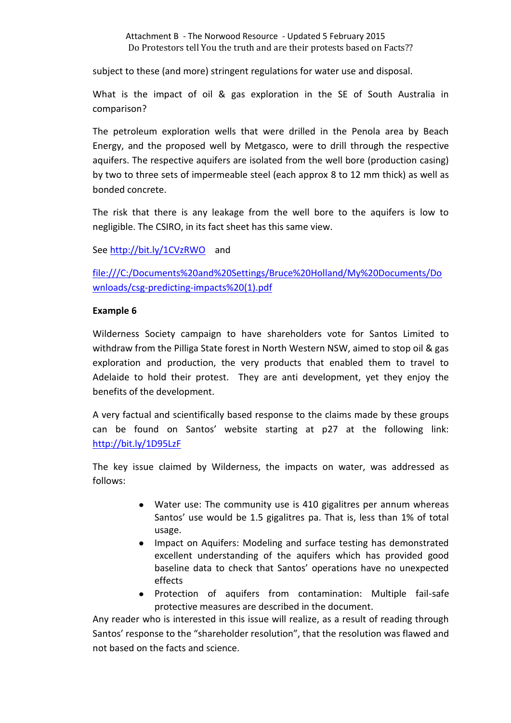subject to these (and more) stringent regulations for water use and disposal.

What is the impact of oil & gas exploration in the SE of South Australia in comparison?

The petroleum exploration wells that were drilled in the Penola area by Beach Energy, and the proposed well by Metgasco, were to drill through the respective aquifers. The respective aquifers are isolated from the well bore (production casing) by two to three sets of impermeable steel (each approx 8 to 12 mm thick) as well as bonded concrete.

The risk that there is any leakage from the well bore to the aquifers is low to negligible. The CSIRO, in its fact sheet has this same view.

See<http://bit.ly/1CVzRWO>and

[file:///C:/Documents%20and%20Settings/Bruce%20Holland/My%20Documents/Do](file:///C:/Documents%20and%20Settings/Bruce%20Holland/My%20Documents/Downloads/csg-predicting-impacts%20(1).pdf) [wnloads/csg-predicting-impacts%20\(1\).pdf](file:///C:/Documents%20and%20Settings/Bruce%20Holland/My%20Documents/Downloads/csg-predicting-impacts%20(1).pdf)

## **Example 6**

Wilderness Society campaign to have shareholders vote for Santos Limited to withdraw from the Pilliga State forest in North Western NSW, aimed to stop oil & gas exploration and production, the very products that enabled them to travel to Adelaide to hold their protest. They are anti development, yet they enjoy the benefits of the development.

A very factual and scientifically based response to the claims made by these groups can be found on Santos' website starting at p27 at the following link: <http://bit.ly/1D95LzF>

The key issue claimed by Wilderness, the impacts on water, was addressed as follows:

- Water use: The community use is 410 gigalitres per annum whereas Santos' use would be 1.5 gigalitres pa. That is, less than 1% of total usage.
- Impact on Aquifers: Modeling and surface testing has demonstrated excellent understanding of the aquifers which has provided good baseline data to check that Santos' operations have no unexpected effects
- Protection of aquifers from contamination: Multiple fail-safe protective measures are described in the document.

Any reader who is interested in this issue will realize, as a result of reading through Santos' response to the "shareholder resolution", that the resolution was flawed and not based on the facts and science.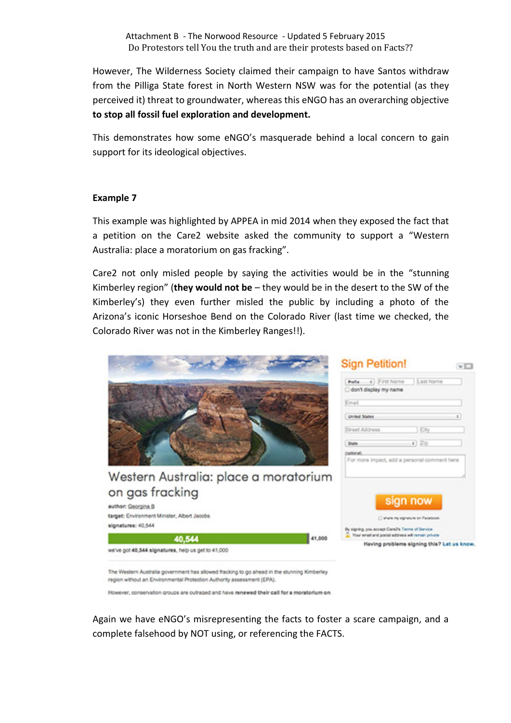However, The Wilderness Society claimed their campaign to have Santos withdraw from the Pilliga State forest in North Western NSW was for the potential (as they perceived it) threat to groundwater, whereas this eNGO has an overarching objective **to stop all fossil fuel exploration and development.**

This demonstrates how some eNGO's masquerade behind a local concern to gain support for its ideological objectives.

#### **Example 7**

This example was highlighted by APPEA in mid 2014 when they exposed the fact that a petition on the Care2 website asked the community to support a "Western Australia: place a moratorium on gas fracking".

Care2 not only misled people by saying the activities would be in the "stunning Kimberley region" (**they would not be** – they would be in the desert to the SW of the Kimberley's) they even further misled the public by including a photo of the Arizona's iconic Horseshoe Bend on the Colorado River (last time we checked, the Colorado River was not in the Kimberley Ranges!!).



region without an Environmental Protection Authority assessment (EPA).

However, conservation groups are cutraged and have renewed their call for a moratorium on

Again we have eNGO's misrepresenting the facts to foster a scare campaign, and a complete falsehood by NOT using, or referencing the FACTS.